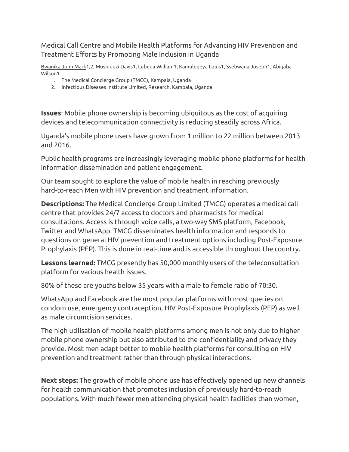Medical Call Centre and Mobile Health Platforms for Advancing HIV Prevention and Treatment Efforts by Promoting Male Inclusion in Uganda

Bwanika John Mark1,2, Musinguzi Davis1, Lubega William1, Kamulegeya Louis1, Ssebwana Joseph1, Abigaba Wilson1

- 1. The Medical Concierge Group (TMCG), Kampala, Uganda
- 2. Infectious Diseases Institute Limited, Research, Kampala, Uganda

**Issues**: Mobile phone ownership is becoming ubiquitous as the cost of acquiring devices and telecommunication connectivity is reducing steadily across Africa.

Uganda's mobile phone users have grown from 1 million to 22 million between 2013 and 2016.

Public health programs are increasingly leveraging mobile phone platforms for health information dissemination and patient engagement.

Our team sought to explore the value of mobile health in reaching previously hard-to-reach Men with HIV prevention and treatment information.

**Descriptions:** The Medical Concierge Group Limited (TMCG) operates a medical call centre that provides 24/7 access to doctors and pharmacists for medical consultations. Access is through voice calls, a two-way SMS platform, Facebook, Twitter and WhatsApp. TMCG disseminates health information and responds to questions on general HIV prevention and treatment options including Post-Exposure Prophylaxis (PEP). This is done in real-time and is accessible throughout the country.

**Lessons learned:** TMCG presently has 50,000 monthly users of the teleconsultation platform for various health issues.

80% of these are youths below 35 years with a male to female ratio of 70:30.

WhatsApp and Facebook are the most popular platforms with most queries on condom use, emergency contraception, HIV Post-Exposure Prophylaxis (PEP) as well as male circumcision services.

The high utilisation of mobile health platforms among men is not only due to higher mobile phone ownership but also attributed to the confidentiality and privacy they provide. Most men adapt better to mobile health platforms for consulting on HIV prevention and treatment rather than through physical interactions.

**Next steps:** The growth of mobile phone use has effectively opened up new channels for health communication that promotes inclusion of previously hard-to-reach populations. With much fewer men attending physical health facilities than women,